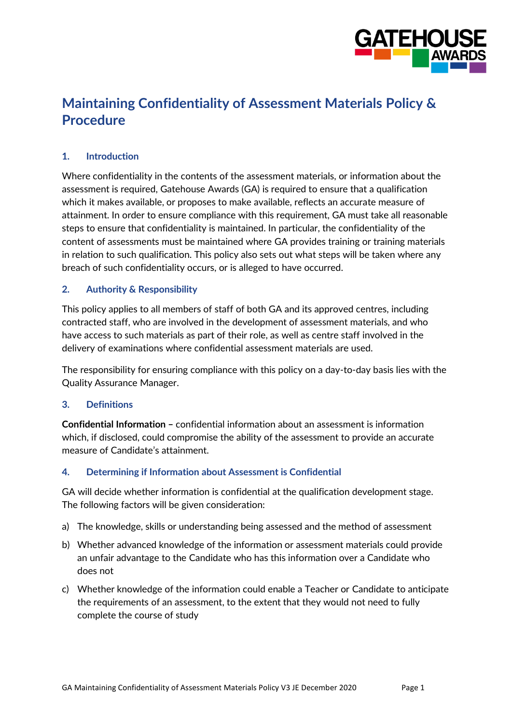

# **Maintaining Confidentiality of Assessment Materials Policy & Procedure**

## **1. Introduction**

Where confidentiality in the contents of the assessment materials, or information about the assessment is required, Gatehouse Awards (GA) is required to ensure that a qualification which it makes available, or proposes to make available, reflects an accurate measure of attainment. In order to ensure compliance with this requirement, GA must take all reasonable steps to ensure that confidentiality is maintained. In particular, the confidentiality of the content of assessments must be maintained where GA provides training or training materials in relation to such qualification. This policy also sets out what steps will be taken where any breach of such confidentiality occurs, or is alleged to have occurred.

#### **2. Authority & Responsibility**

This policy applies to all members of staff of both GA and its approved centres, including contracted staff, who are involved in the development of assessment materials, and who have access to such materials as part of their role, as well as centre staff involved in the delivery of examinations where confidential assessment materials are used.

The responsibility for ensuring compliance with this policy on a day-to-day basis lies with the Quality Assurance Manager.

#### **3. Definitions**

**Confidential Information –** confidential information about an assessment is information which, if disclosed, could compromise the ability of the assessment to provide an accurate measure of Candidate's attainment.

#### **4. Determining if Information about Assessment is Confidential**

GA will decide whether information is confidential at the qualification development stage. The following factors will be given consideration:

- a) The knowledge, skills or understanding being assessed and the method of assessment
- b) Whether advanced knowledge of the information or assessment materials could provide an unfair advantage to the Candidate who has this information over a Candidate who does not
- c) Whether knowledge of the information could enable a Teacher or Candidate to anticipate the requirements of an assessment, to the extent that they would not need to fully complete the course of study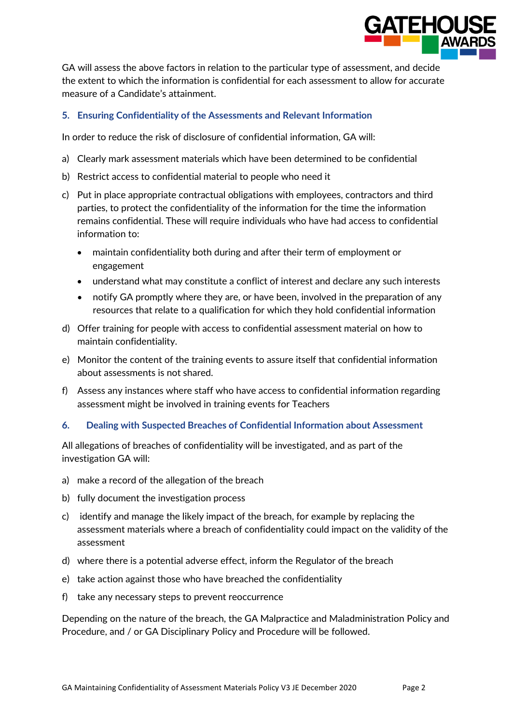

GA will assess the above factors in relation to the particular type of assessment, and decide the extent to which the information is confidential for each assessment to allow for accurate measure of a Candidate's attainment.

### **5. Ensuring Confidentiality of the Assessments and Relevant Information**

In order to reduce the risk of disclosure of confidential information, GA will:

- a) Clearly mark assessment materials which have been determined to be confidential
- b) Restrict access to confidential material to people who need it
- c) Put in place appropriate contractual obligations with employees, contractors and third parties, to protect the confidentiality of the information for the time the information remains confidential. These will require individuals who have had access to confidential information to:
	- maintain confidentiality both during and after their term of employment or engagement
	- understand what may constitute a conflict of interest and declare any such interests
	- notify GA promptly where they are, or have been, involved in the preparation of any resources that relate to a qualification for which they hold confidential information
- d) Offer training for people with access to confidential assessment material on how to maintain confidentiality.
- e) Monitor the content of the training events to assure itself that confidential information about assessments is not shared.
- f) Assess any instances where staff who have access to confidential information regarding assessment might be involved in training events for Teachers

#### **6. Dealing with Suspected Breaches of Confidential Information about Assessment**

All allegations of breaches of confidentiality will be investigated, and as part of the investigation GA will:

- a) make a record of the allegation of the breach
- b) fully document the investigation process
- c) identify and manage the likely impact of the breach, for example by replacing the assessment materials where a breach of confidentiality could impact on the validity of the assessment
- d) where there is a potential adverse effect, inform the Regulator of the breach
- e) take action against those who have breached the confidentiality
- f) take any necessary steps to prevent reoccurrence

Depending on the nature of the breach, the GA Malpractice and Maladministration Policy and Procedure, and / or GA Disciplinary Policy and Procedure will be followed.